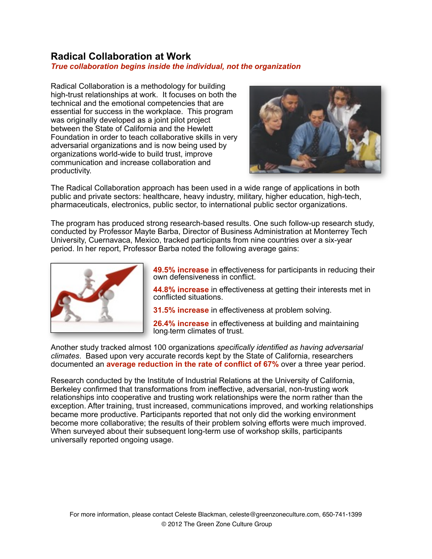# **Radical Collaboration at Work**

## *True collaboration begins inside the individual, not the organization*

Radical Collaboration is a methodology for building high-trust relationships at work. It focuses on both the technical and the emotional competencies that are essential for success in the workplace. This program was originally developed as a joint pilot project between the State of California and the Hewlett Foundation in order to teach collaborative skills in very adversarial organizations and is now being used by organizations world-wide to build trust, improve communication and increase collaboration and productivity.



The Radical Collaboration approach has been used in a wide range of applications in both public and private sectors: healthcare, heavy industry, military, higher education, high-tech, pharmaceuticals, electronics, public sector, to international public sector organizations.

The program has produced strong research-based results. One such follow-up research study, conducted by Professor Mayte Barba, Director of Business Administration at Monterrey Tech University, Cuernavaca, Mexico, tracked participants from nine countries over a six-year period. In her report, Professor Barba noted the following average gains:



**49.5% increase** in effectiveness for participants in reducing their own defensiveness in conflict.

**44.8% increase** in effectiveness at getting their interests met in conflicted situations.

**31.5% increase** in effectiveness at problem solving.

**26.4% increase** in effectiveness at building and maintaining long-term climates of trust.

Another study tracked almost 100 organizations *specifically identified as having adversarial climates*. Based upon very accurate records kept by the State of California, researchers documented an **average reduction in the rate of conflict of 67%** over a three year period.

Research conducted by the Institute of Industrial Relations at the University of California, Berkeley confirmed that transformations from ineffective, adversarial, non-trusting work relationships into cooperative and trusting work relationships were the norm rather than the exception. After training, trust increased, communications improved, and working relationships became more productive. Participants reported that not only did the working environment become more collaborative; the results of their problem solving efforts were much improved. When surveyed about their subsequent long-term use of workshop skills, participants universally reported ongoing usage.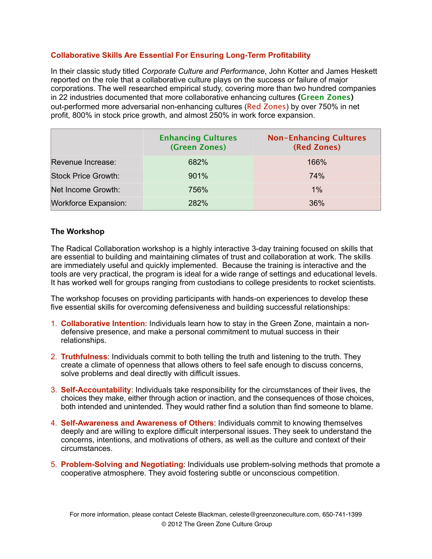## **Collaborative Skills Are Essential For Ensuring Long-Term Profitability**

In their classic study titled *Corporate Culture and Performance*, John Kotter and James Heskett reported on the role that a collaborative culture plays on the success or failure of major corporations. The well researched empirical study, covering more than two hundred companies in 22 industries documented that more collaborative enhancing cultures **(Green Zones)**  out-performed more adversarial non-enhancing cultures (Red Zones) by over 750% in net profit, 800% in stock price growth, and almost 250% in work force expansion.

|                             | <b>Enhancing Cultures</b><br>(Green Zones) | <b>Non-Enhancing Cultures</b><br>(Red Zones) |
|-----------------------------|--------------------------------------------|----------------------------------------------|
| Revenue Increase:           | 682%                                       | 166%                                         |
| <b>Stock Price Growth:</b>  | 901%                                       | 74%                                          |
| Net Income Growth:          | 756%                                       | $1\%$                                        |
| <b>Workforce Expansion:</b> | 282%                                       | 36%                                          |

### **The Workshop**

The Radical Collaboration workshop is a highly interactive 3-day training focused on skills that are essential to building and maintaining climates of trust and collaboration at work. The skills are immediately useful and quickly implemented. Because the training is interactive and the tools are very practical, the program is ideal for a wide range of settings and educational levels. It has worked well for groups ranging from custodians to college presidents to rocket scientists.

The workshop focuses on providing participants with hands-on experiences to develop these five essential skills for overcoming defensiveness and building successful relationships:

- 1. **Collaborative Intention**: Individuals learn how to stay in the Green Zone, maintain a nondefensive presence, and make a personal commitment to mutual success in their relationships.
- 2. **Truthfulness**: Individuals commit to both telling the truth and listening to the truth. They create a climate of openness that allows others to feel safe enough to discuss concerns, solve problems and deal directly with difficult issues.
- 3. **Self-Accountability**: Individuals take responsibility for the circumstances of their lives, the choices they make, either through action or inaction, and the consequences of those choices, both intended and unintended. They would rather find a solution than find someone to blame.
- 4. **Self-Awareness and Awareness of Others**: Individuals commit to knowing themselves deeply and are willing to explore difficult interpersonal issues. They seek to understand the concerns, intentions, and motivations of others, as well as the culture and context of their circumstances.
- 5. **Problem-Solving and Negotiating**: Individuals use problem-solving methods that promote a cooperative atmosphere. They avoid fostering subtle or unconscious competition.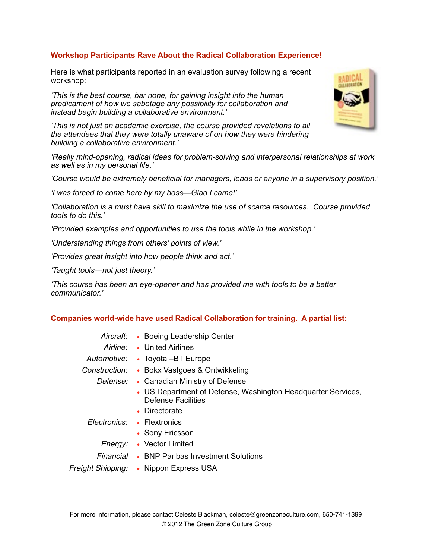## **Workshop Participants Rave About the Radical Collaboration Experience!**

Here is what participants reported in an evaluation survey following a recent workshop:

*'This is the best course, bar none, for gaining insight into the human predicament of how we sabotage any possibility for collaboration and instead begin building a collaborative environment.'*

*'This is not just an academic exercise, the course provided revelations to all the attendees that they were totally unaware of on how they were hindering building a collaborative environment.'*

*'Really mind-opening, radical ideas for problem-solving and interpersonal relationships at work as well as in my personal life.'*

*'Course would be extremely beneficial for managers, leads or anyone in a supervisory position.'*

*'I was forced to come here by my boss—Glad I came!'*

*'Collaboration is a must have skill to maximize the use of scarce resources. Course provided tools to do this.'*

*'Provided examples and opportunities to use the tools while in the workshop.'*

*'Understanding things from others' points of view.'*

*'Provides great insight into how people think and act.'*

*'Taught tools—not just theory.'*

*'This course has been an eye-opener and has provided me with tools to be a better communicator.'*

#### **Companies world-wide have used Radical Collaboration for training. A partial list:**

- *Aircraft:* Boeing Leadership Center
- *Airline:* United Airlines
- 
- *Automotive:* Toyota –BT Europe
- *Construction:* Bokx Vastgoes & Ontwikkeling
	- *Defense:* Canadian Ministry of Defense
		- US Department of Defense, Washington Headquarter Services, Defense Facilities
		- Directorate
	- *Electronics:* Flextronics
		- Sony Ericsson
		- *Energy:* Vector Limited
		- *Financial* BNP Paribas Investment Solutions
- *Freight Shipping:* Nippon Express USA